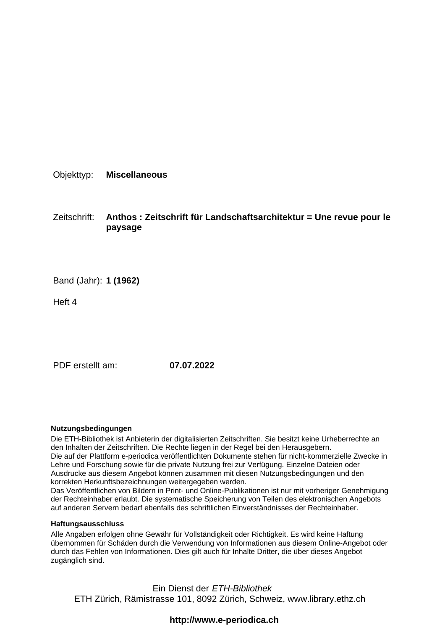Objekttyp: **Miscellaneous**

Zeitschrift: **Anthos : Zeitschrift für Landschaftsarchitektur = Une revue pour le paysage**

Band (Jahr): **1 (1962)**

Heft 4

PDF erstellt am: **07.07.2022**

### **Nutzungsbedingungen**

Die ETH-Bibliothek ist Anbieterin der digitalisierten Zeitschriften. Sie besitzt keine Urheberrechte an den Inhalten der Zeitschriften. Die Rechte liegen in der Regel bei den Herausgebern. Die auf der Plattform e-periodica veröffentlichten Dokumente stehen für nicht-kommerzielle Zwecke in Lehre und Forschung sowie für die private Nutzung frei zur Verfügung. Einzelne Dateien oder Ausdrucke aus diesem Angebot können zusammen mit diesen Nutzungsbedingungen und den korrekten Herkunftsbezeichnungen weitergegeben werden.

Das Veröffentlichen von Bildern in Print- und Online-Publikationen ist nur mit vorheriger Genehmigung der Rechteinhaber erlaubt. Die systematische Speicherung von Teilen des elektronischen Angebots auf anderen Servern bedarf ebenfalls des schriftlichen Einverständnisses der Rechteinhaber.

### **Haftungsausschluss**

Alle Angaben erfolgen ohne Gewähr für Vollständigkeit oder Richtigkeit. Es wird keine Haftung übernommen für Schäden durch die Verwendung von Informationen aus diesem Online-Angebot oder durch das Fehlen von Informationen. Dies gilt auch für Inhalte Dritter, die über dieses Angebot zugänglich sind.

Ein Dienst der ETH-Bibliothek ETH Zürich, Rämistrasse 101, 8092 Zürich, Schweiz, www.library.ethz.ch

## **http://www.e-periodica.ch**